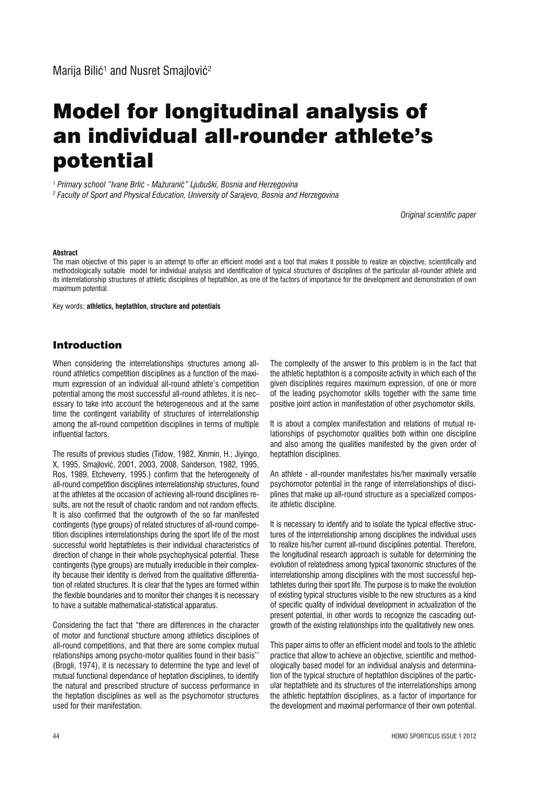# Model for longitudinal analysis of an individual all-rounder athlete's potential

*1 Primary school "Ivane Brliê - Mažuraniê" Ljubuški, Bosnia and Herzegovina*

*2 Faculty of Sport and Physical Education, University of Sarajevo, Bosnia and Herzegovina*

*Original scientific paper*

#### **Abstract**

The main objective of this paper is an attempt to offer an efficient model and a tool that makes it possible to realize an objective, scientifically and methodologically suitable model for individual analysis and identification of typical structures of disciplines of the particular all-rounder athlete and its interrelationship structures of athletic disciplines of heptathlon, as one of the factors of importance for the development and demonstration of own maximum potential.

Key words: **athletics, heptathlon, structure and potentials**

## Introduction

When considering the interrelationships structures among allround athletics competition disciplines as a function of the maximum expression of an individual all-round athlete's competition potential among the most successful all-round athletes, it is necessary to take into account the heterogeneous and at the same time the contingent variability of structures of interrelationship among the all-round competition disciplines in terms of multiple influential factors.

The results of previous studies (Tidow, 1982, Xinmin, H.; Jiyingo, X, 1995, Smajloviê, 2001, 2003, 2008, Sanderson, 1982, 1995, Ros, 1989, Etcheverry, 1995.) confirm that the heterogeneity of all-round competition disciplines interrelationship structures, found at the athletes at the occasion of achieving all-round disciplines results, are not the result of chaotic random and not random effects. It is also confirmed that the outgrowth of the so far manifested contingents (type groups) of related structures of all-round competition disciplines interrelationships during the sport life of the most successful world heptathletes is their individual characteristics of direction of change in their whole psychophysical potential. These contingents (type groups) are mutually irreducible in their complexity because their identity is derived from the qualitative differentiation of related structures. It is clear that the types are formed within the flexible boundaries and to monitor their changes it is necessary to have a suitable mathematical-statistical apparatus.

Considering the fact that "there are differences in the character of motor and functional structure among athletics disciplines of all-round competitions, and that there are some complex mutual relationships among psycho-motor qualities found in their basis'' (Brogli, 1974), it is necessary to determine the type and level of mutual functional dependance of heptatlon disciplines, to identify the natural and prescribed structure of success performance in the heptatlon disciplines as well as the psychomotor structures used for their manifestation.

The complexity of the answer to this problem is in the fact that the athletic heptathlon is a composite activity in which each of the given disciplines requires maximum expression, of one or more of the leading psychomotor skills together with the same time positive joint action in manifestation of other psychomotor skills.

It is about a complex manifestation and relations of mutual relationships of psychomotor qualities both within one discipline and also among the qualities manifested by the given order of heptathlon disciplines.

An athlete - all-rounder manifestates his/her maximally versatile psychomotor potential in the range of interrelationships of disciplines that make up all-round structure as a specialized composite athletic discipline.

It is necessary to identify and to isolate the typical effective structures of the interrelationship among disciplines the individual uses to realize his/her current all-round disciplines potential. Therefore, the longitudinal research approach is suitable for determining the evolution of relatedness among typical taxonomic structures of the interrelationship among disciplines with the most successful heptathletes during their sport life. The purpose is to make the evolution of existing typical structures visible to the new structures as a kind of specific quality of individual development in actualization of the present potential, in other words to recognize the cascading outgrowth of the existing relationships into the qualitatively new ones.

This paper aims to offer an efficient model and tools to the athletic practice that allow to achieve an objective, scientific and methodologically based model for an individual analysis and determination of the typical structure of heptathlon disciplines of the particular heptathlete and its structures of the interrelationships among the athletic heptathlon disciplines, as a factor of importance for the development and maximal performance of their own potential.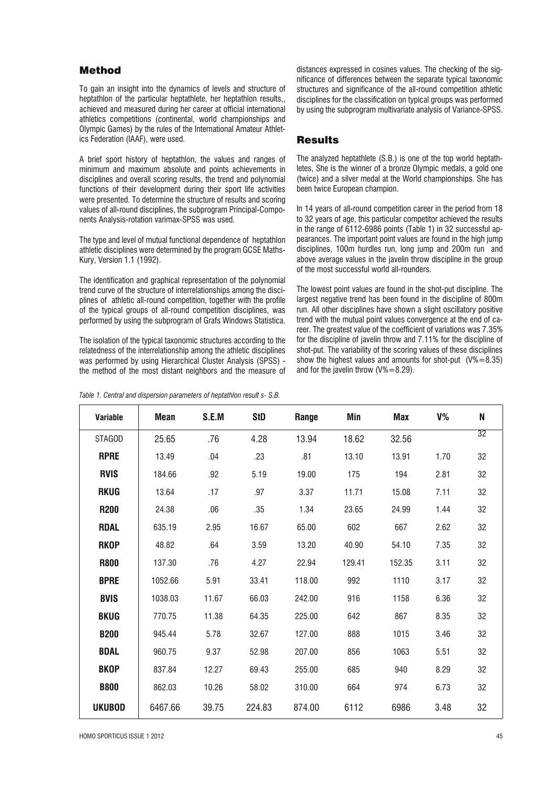### Method

To gain an insight into the dynamics of levels and structure of heptathlon of the particular heptathlete, her heptathlon results., achieved and measured during her career at official international athletics competitions (continental, world championships and Olympic Games) by the rules of the International Amateur Athletics Federation (IAAF), were used.

A brief sport history of heptathlon, the values and ranges of minimum and maximum absolute and points achievements in disciplines and overall scoring results, the trend and polynomial functions of their development during their sport life activities were presented. To determine the structure of results and scoring values of all-round disciplines, the subprogram Principal-Components Analysis-rotation varimax-SPSS was used.

The type and level of mutual functional dependence of heptathlon athletic disciplines were determined by the program GCSE Maths-Kury, Version 1.1 (1992).

The identification and graphical representation of the polynomial trend curve of the structure of interrelationships among the disciplines of athletic all-round competition, together with the profile of the typical groups of all-round competition disciplines, was performed by using the subprogram of Grafs Windows Statistica.

The isolation of the typical taxonomic structures according to the relatedness of the interrelationship among the athletic disciplines was performed by using Hierarchical Cluster Analysis (SPSS) the method of the most distant neighbors and the measure of

*Table 1. Central and dispersion parameters of heptathlon result s- S.B.*

distances expressed in cosines values. The checking of the significance of differences between the separate typical taxonomic structures and significance of the all-round competition athletic disciplines for the classification on typical groups was performed by using the subprogram multivariate analysis of Variance-SPSS.

### Results

The analyzed heptathlete (S.B.) is one of the top world heptathletes, She is the winner of a bronze Olympic medals, a gold one (twice) and a silver medal at the World championships. She has been twice European champion.

In 14 years of all-round competition career in the period from 18 to 32 years of age, this particular competitor achieved the results in the range of 6112-6986 points (Table 1) in 32 successful appearances. The important point values are found in the high jump disciplines, 100m hurdles run, long jump and 200m run and above average values in the javelin throw discipline in the group of the most successful world all-rounders.

The lowest point values are found in the shot-put discipline. The largest negative trend has been found in the discipline of 800m run. All other disciplines have shown a slight oscillatory positive trend with the mutual point values convergence at the end of career. The greatest value of the coefficient of variations was 7.35% for the discipline of javelin throw and 7.11% for the discipline of shot-put. The variability of the scoring values of these disciplines show the highest values and amounts for shot-put  $(V%=8.35)$ and for the javelin throw  $(V% = 8.29)$ .

| <b>Variable</b> | <b>Mean</b> | S.E.M | <b>StD</b> | Range  | Min    | Max    | V%   | N               |
|-----------------|-------------|-------|------------|--------|--------|--------|------|-----------------|
| <b>STAGOD</b>   | 25.65       | .76   | 4.28       | 13.94  | 18.62  | 32.56  |      | $\overline{32}$ |
| <b>RPRE</b>     | 13.49       | .04   | .23        | .81    | 13.10  | 13.91  | 1.70 | 32              |
| <b>RVIS</b>     | 184.66      | .92   | 5.19       | 19.00  | 175    | 194    | 2.81 | 32              |
| <b>RKUG</b>     | 13.64       | .17   | .97        | 3.37   | 11.71  | 15.08  | 7.11 | 32              |
| <b>R200</b>     | 24.38       | .06   | .35        | 1.34   | 23.65  | 24.99  | 1.44 | 32              |
| <b>RDAL</b>     | 635.19      | 2.95  | 16.67      | 65.00  | 602    | 667    | 2.62 | 32              |
| <b>RKOP</b>     | 48.82       | .64   | 3.59       | 13.20  | 40.90  | 54.10  | 7.35 | 32              |
| <b>R800</b>     | 137.30      | .76   | 4.27       | 22.94  | 129.41 | 152.35 | 3.11 | 32              |
| <b>BPRE</b>     | 1052.66     | 5.91  | 33.41      | 118.00 | 992    | 1110   | 3.17 | 32              |
| <b>BVIS</b>     | 1038.03     | 11.67 | 66.03      | 242.00 | 916    | 1158   | 6.36 | 32              |
| <b>BKUG</b>     | 770.75      | 11.38 | 64.35      | 225.00 | 642    | 867    | 8.35 | 32              |
| <b>B200</b>     | 945.44      | 5.78  | 32.67      | 127.00 | 888    | 1015   | 3.46 | 32              |
| <b>BDAL</b>     | 960.75      | 9.37  | 52.98      | 207.00 | 856    | 1063   | 5.51 | 32              |
| <b>BKOP</b>     | 837.84      | 12.27 | 69.43      | 255.00 | 685    | 940    | 8.29 | 32              |
| <b>B800</b>     | 862.03      | 10.26 | 58.02      | 310.00 | 664    | 974    | 6.73 | 32              |
| <b>UKUBOD</b>   | 6467.66     | 39.75 | 224.83     | 874.00 | 6112   | 6986   | 3.48 | 32              |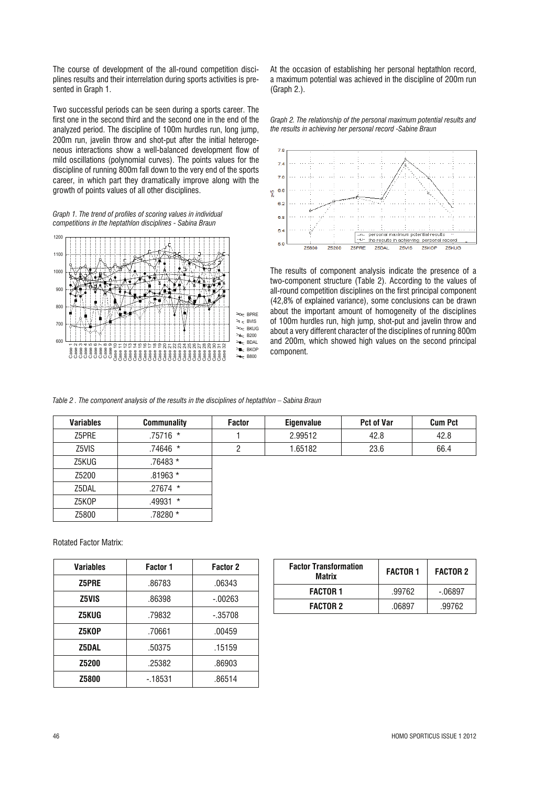The course of development of the all-round competition disciplines results and their interrelation during sports activities is presented in Graph 1.

Two successful periods can be seen during a sports career. The first one in the second third and the second one in the end of the analyzed period. The discipline of 100m hurdles run, long jump, 200m run, javelin throw and shot-put after the initial heterogeneous interactions show a well-balanced development flow of mild oscillations (polynomial curves). The points values for the discipline of running 800m fall down to the very end of the sports career, in which part they dramatically improve along with the growth of points values of all other disciplines.

*Graph 1. The trend of profiles of scoring values in individual competitions in the heptathlon disciplines - Sabina Braun*



At the occasion of establishing her personal heptathlon record, a maximum potential was achieved in the discipline of 200m run (Graph 2.).

*Graph 2. The relationship of the personal maximum potential results and the results in achieving her personal record -Sabine Braun*



The results of component analysis indicate the presence of a two-component structure (Table 2). According to the values of all-round competition disciplines on the first principal component (42,8% of explained variance), some conclusions can be drawn about the important amount of homogeneity of the disciplines of 100m hurdles run, high jump, shot-put and javelin throw and about a very different character of the disciplines of running 800m and 200m, which showed high values on the second principal component.

*Table 2 . The component analysis of the results in the disciplines of heptathlon – Sabina Braun*

| <b>Variables</b> | <b>Communality</b> | <b>Factor</b> | <b>Eigenvalue</b> | <b>Pct of Var</b> | <b>Cum Pct</b> |
|------------------|--------------------|---------------|-------------------|-------------------|----------------|
| Z5PRE            | $.75716$ *         |               | 2.99512           | 42.8              | 42.8           |
| Z5VIS            | $.74646*$          | 2             | 1.65182           | 23.6              | 66.4           |
| Z5KUG            | .76483 *           |               |                   |                   |                |
| Z5200            | $.81963*$          |               |                   |                   |                |
| Z5DAL            | $.27674$ *         |               |                   |                   |                |
| Z5KOP            | $.49931$ *         |               |                   |                   |                |
| Z5800            | .78280 *           |               |                   |                   |                |

Rotated Factor Matrix:

| <b>Variables</b> | Factor 1 | <b>Factor 2</b> |  |
|------------------|----------|-----------------|--|
| Z5PRE            | .86783   | .06343          |  |
| <b>Z5VIS</b>     | .86398   | $-0.00263$      |  |
| Z5KUG            | .79832   | $-.35708$       |  |
| Z5KOP            | .70661   | .00459          |  |
| <b>Z5DAL</b>     | .50375   | .15159          |  |
| <b>Z5200</b>     | .25382   | .86903          |  |
| <b>Z5800</b>     | $-18531$ | .86514          |  |

| <b>Factor Transformation</b><br>Matrix | <b>FACTOR 1</b> | <b>FACTOR 2</b> |  |
|----------------------------------------|-----------------|-----------------|--|
| <b>FACTOR 1</b>                        | .99762          | $-06897$        |  |
| <b>FACTOR 2</b>                        | .06897          | .99762          |  |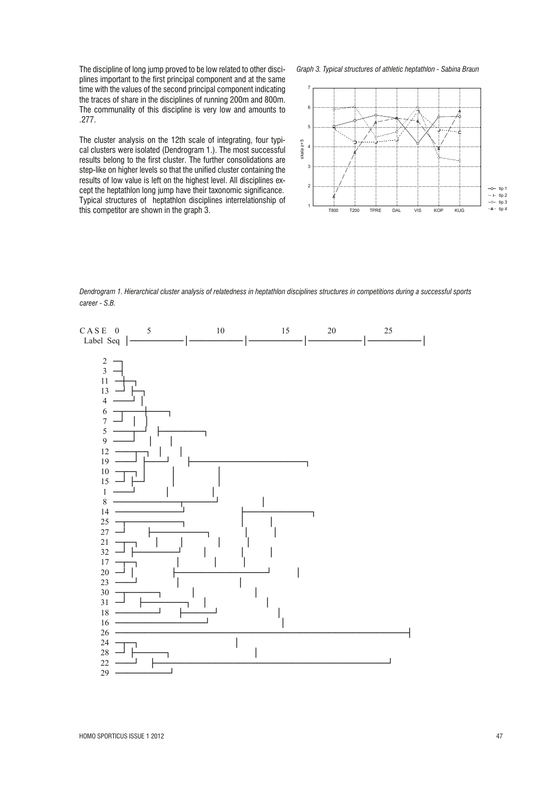The discipline of long jump proved to be low related to other disciplines important to the first principal component and at the same time with the values of the second principal component indicating the traces of share in the disciplines of running 200m and 800m. The communality of this discipline is very low and amounts to .277.

The cluster analysis on the 12th scale of integrating, four typical clusters were isolated (Dendrogram 1.). The most successful results belong to the first cluster. The further consolidations are step-like on higher levels so that the unified cluster containing the results of low value is left on the highest level. All disciplines except the heptathlon long jump have their taxonomic significance. Typical structures of heptathlon disciplines interrelationship of this competitor are shown in the graph 3.

*Graph 3. Typical structures of athletic heptathlon - Sabina Braun*



*Dendrogram 1. Hierarchical cluster analysis of relatedness in heptathlon disciplines structures in competitions during a successful sports career - S.B.*